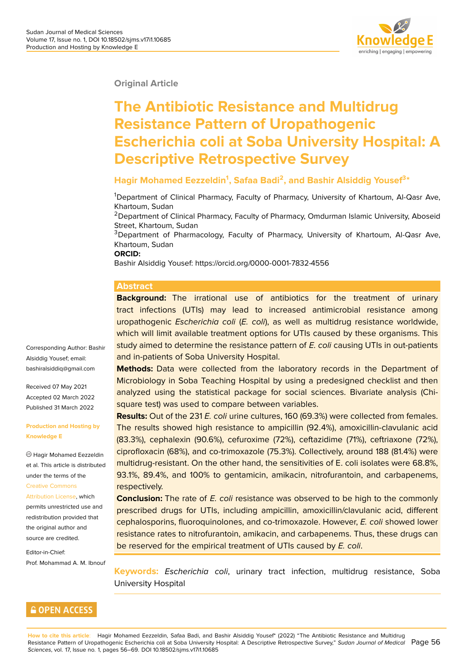

#### **Original Article**

# **The Antibiotic Resistance and Multidrug Resistance Pattern of Uropathogenic Escherichia coli at Soba University Hospital: A Descriptive Retrospective Survey**

#### **Hagir Mohamed Eezzeldin<sup>1</sup> , Safaa Badi<sup>2</sup> , and Bashir Alsiddig Yousef<sup>3</sup> \***

<sup>1</sup>Department of Clinical Pharmacy, Faculty of Pharmacy, University of Khartoum, Al-Qasr Ave, Khartoum, Sudan

<sup>2</sup>Department of Clinical Pharmacy, Faculty of Pharmacy, Omdurman Islamic University, Aboseid Street, Khartoum, Sudan

<sup>3</sup>Department of Pharmacology, Faculty of Pharmacy, University of Khartoum, Al-Qasr Ave, Khartoum, Sudan

#### **ORCID:**

Bashir Alsiddig Yousef: https://orcid.org/0000-0001-7832-4556

#### **Abstract**

**Background:** The irrational use of antibiotics for the treatment of urinary tract infections (UTIs) may lead to increased antimicrobial resistance among uropathogenic *Escherichia coli* (*E. coli*), as well as multidrug resistance worldwide, which will limit available treatment options for UTIs caused by these organisms. This study aimed to determine the resistance pattern of *E. coli* causing UTIs in out-patients and in-patients of Soba University Hospital.

**Methods:** Data were collected from the laboratory records in the Department of Microbiology in Soba Teaching Hospital by using a predesigned checklist and then analyzed using the statistical package for social sciences. Bivariate analysis (Chisquare test) was used to compare between variables.

**Results:** Out of the 231 *E. coli* urine cultures, 160 (69.3%) were collected from females. The results showed high resistance to ampicillin (92.4%), amoxicillin-clavulanic acid (83.3%), cephalexin (90.6%), cefuroxime (72%), ceftazidime (71%), ceftriaxone (72%), ciprofloxacin (68%), and co-trimoxazole (75.3%). Collectively, around 188 (81.4%) were multidrug-resistant. On the other hand, the sensitivities of E. coli isolates were 68.8%, 93.1%, 89.4%, and 100% to gentamicin, amikacin, nitrofurantoin, and carbapenems, respectively.

**Conclusion:** The rate of *E. coli* resistance was observed to be high to the commonly prescribed drugs for UTIs, including ampicillin, amoxicillin/clavulanic acid, different cephalosporins, fluoroquinolones, and co-trimoxazole. However, *E. coli* showed lower resistance rates to nitrofurantoin, amikacin, and carbapenems. Thus, these drugs can be reserved for the empirical treatment of UTIs caused by *E. coli*.

**Keywords:** *Escherichia coli*, urinary tract infection, multidrug resistance, Soba University Hospital

Corresponding Author: Bashir Alsiddig Yousef; email: bashiralsiddiq@gmail.com

Received 07 May 2021 Accepted 02 March 2022 [Published 31 March 2022](mailto:bashiralsiddiq@gmail.com)

#### **Production and Hosting by Knowledge E**

Hagir Mohamed Eezzeldin et al. This article is distributed under the terms of the Creative Commons Attribution License, which permits unrestricted use and redistribution provided that [the original author](https://creativecommons.org/licenses/by/4.0/) and [source are credited](https://creativecommons.org/licenses/by/4.0/).

Editor-in-Chief: Prof. Mohammad A. M. Ibnouf

#### **GOPEN ACCESS**

**How to cite this article**: Hagir Mohamed Eezzeldin, Safaa Badi, and Bashir Alsiddig Yousef\* (2022) "The Antibiotic Resistance and Multidrug Resistance Pattern of Uropathogenic Escherichia coli at Soba University Hospital: A Descriptive Retrospective Survey," *Sudan Journal of Medical* Page 56 *Sciences*, vol. 17, Issue no. 1, pages 56–69. DOI 10.18502/sjms.v17i1.10685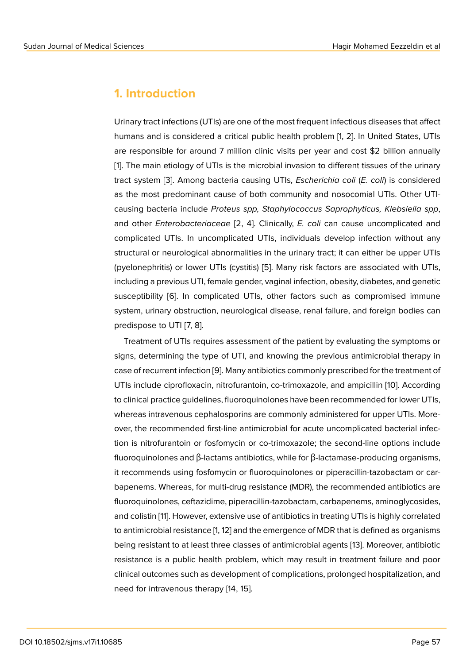### **1. Introduction**

Urinary tract infections (UTIs) are one of the most frequent infectious diseases that affect humans and is considered a critical public health problem [1, 2]. In United States, UTIs are responsible for around 7 million clinic visits per year and cost \$2 billion annually [1]. The main etiology of UTIs is the microbial invasion to different tissues of the urinary tract system [3]. Among bacteria causing UTIs, *Escherichia coli* (*E. coli*) is considered as the most predominant cause of both community and nosocomial UTIs. Other UTI[ca](#page-10-0)using bacteria include *Proteus spp, Staphylococcus Saprophyticus, Klebsiella spp*, and other *En[te](#page-10-1)robacteriaceae* [2, 4]. Clinically, *E. coli* can cause uncomplicated and complicated UTIs. In uncomplicated UTIs, individuals develop infection without any structural or neurological abnormalities in the urinary tract; it can either be upper UTIs (pyelonephritis) or lower UTIs (cystitis) [5]. Many risk factors are associated with UTIs, including a previous UTI, female gender, vaginal infection, obesity, diabetes, and genetic susceptibility [6]. In complicated UTIs, other factors such as compromised immune system, urinary obstruction, neurologic[al](#page-10-2) disease, renal failure, and foreign bodies can predispose to UTI [7, 8].

Treatment o[f U](#page-10-3)TIs requires assessment of the patient by evaluating the symptoms or signs, determining the type of UTI, and knowing the previous antimicrobial therapy in case of recurrent infection [9]. Many antibiotics commonly prescribed for the treatment of UTIs include ciprofloxacin, nitrofurantoin, co-trimoxazole, and ampicillin [10]. According to clinical practice guidelines, fluoroquinolones have been recommended for lower UTIs, whereas intravenous ceph[al](#page-11-0)osporins are commonly administered for upper UTIs. Moreover, the recommended first-line antimicrobial for acute uncomplicated [bac](#page-11-1)terial infection is nitrofurantoin or fosfomycin or co-trimoxazole; the second-line options include fluoroquinolones and β-lactams antibiotics, while for β-lactamase-producing organisms, it recommends using fosfomycin or fluoroquinolones or piperacillin-tazobactam or carbapenems. Whereas, for multi-drug resistance (MDR), the recommended antibiotics are fluoroquinolones, ceftazidime, piperacillin-tazobactam, carbapenems, aminoglycosides, and colistin [11]. However, extensive use of antibiotics in treating UTIs is highly correlated to antimicrobial resistance [1, 12] and the emergence of MDR that is defined as organisms being resistant to at least three classes of antimicrobial agents [13]. Moreover, antibiotic resistance i[s a](#page-11-2) public health problem, which may result in treatment failure and poor clinical outcomes such as development of complications, prolonged hospitalization, and need for intravenous therapy [14, 15].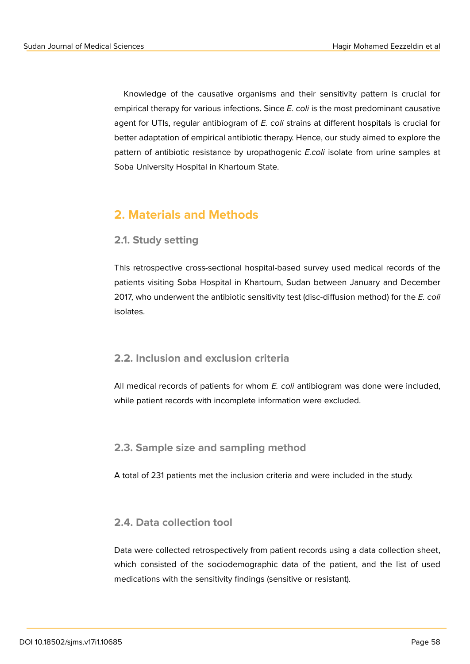Knowledge of the causative organisms and their sensitivity pattern is crucial for empirical therapy for various infections. Since *E. coli* is the most predominant causative agent for UTIs, regular antibiogram of *E. coli* strains at different hospitals is crucial for better adaptation of empirical antibiotic therapy. Hence, our study aimed to explore the pattern of antibiotic resistance by uropathogenic *E.coli* isolate from urine samples at Soba University Hospital in Khartoum State.

# **2. Materials and Methods**

#### **2.1. Study setting**

This retrospective cross-sectional hospital-based survey used medical records of the patients visiting Soba Hospital in Khartoum, Sudan between January and December 2017, who underwent the antibiotic sensitivity test (disc-diffusion method) for the *E. coli* isolates.

### **2.2. Inclusion and exclusion criteria**

All medical records of patients for whom *E. coli* antibiogram was done were included, while patient records with incomplete information were excluded.

### **2.3. Sample size and sampling method**

A total of 231 patients met the inclusion criteria and were included in the study.

### **2.4. Data collection tool**

Data were collected retrospectively from patient records using a data collection sheet, which consisted of the sociodemographic data of the patient, and the list of used medications with the sensitivity findings (sensitive or resistant).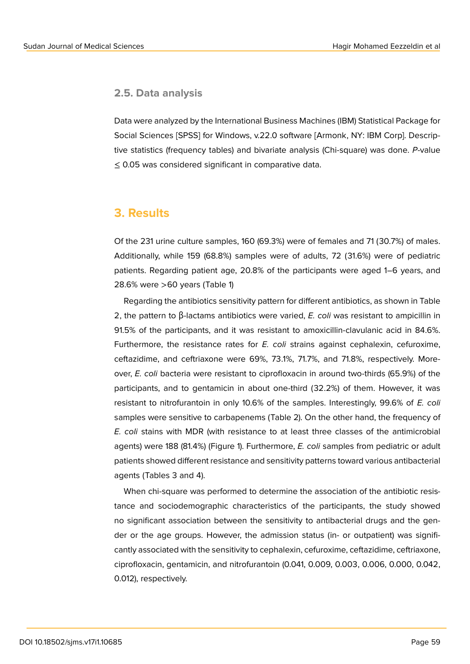#### **2.5. Data analysis**

Data were analyzed by the International Business Machines (IBM) Statistical Package for Social Sciences [SPSS] for Windows, v.22.0 software [Armonk, NY: IBM Corp]. Descriptive statistics (frequency tables) and bivariate analysis (Chi-square) was done. *P*-value ≤ 0.05 was considered significant in comparative data.

### **3. Results**

Of the 231 urine culture samples, 160 (69.3%) were of females and 71 (30.7%) of males. Additionally, while 159 (68.8%) samples were of adults, 72 (31.6%) were of pediatric patients. Regarding patient age, 20.8% of the participants were aged 1–6 years, and 28.6% were >60 years (Table 1)

Regarding the antibiotics sensitivity pattern for different antibiotics, as shown in Table 2, the pattern to β-lactams antibiotics were varied, *E. coli* was resistant to ampicillin in 91.5% of the participants, and it was resistant to amoxicillin-clavulanic acid in 84.6%. Furthermore, the resistance rates for *E. coli* strains against cephalexin, cefuroxime, ceftazidime, and ceftriaxone were 69%, 73.1%, 71.7%, and 71.8%, respectively. Moreover, *E. coli* bacteria were resistant to ciprofloxacin in around two-thirds (65.9%) of the participants, and to gentamicin in about one-third (32.2%) of them. However, it was resistant to nitrofurantoin in only 10.6% of the samples. Interestingly, 99.6% of *E. coli* samples were sensitive to carbapenems (Table 2). On the other hand, the frequency of *E. coli* stains with MDR (with resistance to at least three classes of the antimicrobial agents) were 188 (81.4%) (Figure 1). Furthermore, *E. coli* samples from pediatric or adult patients showed different resistance and sensitivity patterns toward various antibacterial agents (Tables 3 and 4).

When chi-square was performed to determine the association of the antibiotic resistance and sociodemographic characteristics of the participants, the study showed no significant association between the sensitivity to antibacterial drugs and the gender or the age groups. However, the admission status (in- or outpatient) was significantly associated with the sensitivity to cephalexin, cefuroxime, ceftazidime, ceftriaxone, ciprofloxacin, gentamicin, and nitrofurantoin (0.041, 0.009, 0.003, 0.006, 0.000, 0.042, 0.012), respectively.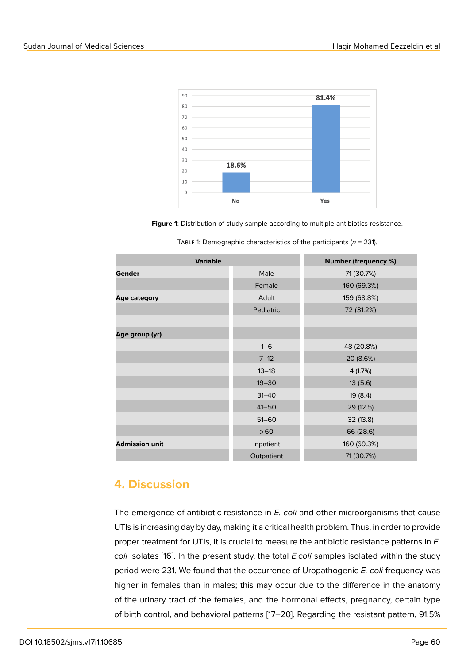

**Figure 1**: Distribution of study sample according to multiple antibiotics resistance.

| <b>Variable</b>       |            | <b>Number (frequency %)</b> |  |
|-----------------------|------------|-----------------------------|--|
| <b>Gender</b>         | Male       | 71 (30.7%)                  |  |
|                       | Female     | 160 (69.3%)                 |  |
| <b>Age category</b>   | Adult      | 159 (68.8%)                 |  |
|                       | Pediatric  | 72 (31.2%)                  |  |
|                       |            |                             |  |
| Age group (yr)        |            |                             |  |
|                       | $1 - 6$    | 48 (20.8%)                  |  |
|                       | $7 - 12$   | 20 (8.6%)                   |  |
|                       | $13 - 18$  | 4(1.7%)                     |  |
|                       | $19 - 30$  | 13(5.6)                     |  |
|                       | $31 - 40$  | 19(8.4)                     |  |
|                       | $41 - 50$  | 29(12.5)                    |  |
|                       | $51 - 60$  | 32 (13.8)                   |  |
|                       | $>60$      | 66 (28.6)                   |  |
| <b>Admission unit</b> | Inpatient  | 160 (69.3%)                 |  |
|                       | Outpatient | 71 (30.7%)                  |  |

TABLE 1: Demographic characteristics of the participants ( $n = 231$ ).

### **4. Discussion**

The emergence of antibiotic resistance in *E. coli* and other microorganisms that cause UTIs is increasing day by day, making it a critical health problem. Thus, in order to provide proper treatment for UTIs, it is crucial to measure the antibiotic resistance patterns in *E. coli* isolates [16]. In the present study, the total *E.coli* samples isolated within the study period were 231. We found that the occurrence of Uropathogenic *E. coli* frequency was higher in females than in males; this may occur due to the difference in the anatomy of the urinar[y t](#page-11-3)ract of the females, and the hormonal effects, pregnancy, certain type of birth control, and behavioral patterns [17–20]. Regarding the resistant pattern, 91.5%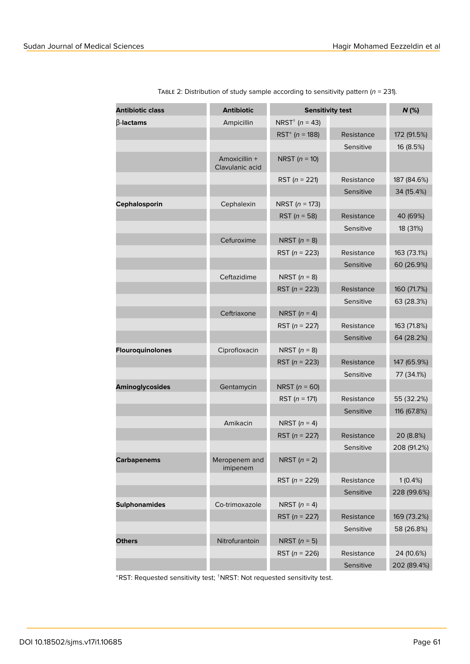| <b>Antibiotic class</b> | <b>Antibiotic</b>                | <b>Sensitivity test</b>        |            | $N$ (%)     |
|-------------------------|----------------------------------|--------------------------------|------------|-------------|
| $\beta$ -lactams        | Ampicillin                       | NRST <sup>†</sup> ( $n = 43$ ) |            |             |
|                         |                                  | RST <sup>*</sup> ( $n = 188$ ) | Resistance | 172 (91.5%) |
|                         |                                  |                                | Sensitive  | 16 (8.5%)   |
|                         | Amoxicillin +<br>Clavulanic acid | NRST ( $n = 10$ )              |            |             |
|                         |                                  | RST ( $n = 221$ )              | Resistance | 187 (84.6%) |
|                         |                                  |                                | Sensitive  | 34 (15.4%)  |
| Cephalosporin           | Cephalexin                       | <b>NRST</b> ( $n = 173$ )      |            |             |
|                         |                                  | RST ( $n = 58$ )               | Resistance | 40 (69%)    |
|                         |                                  |                                | Sensitive  | 18 (31%)    |
|                         | Cefuroxime                       | NRST $(n = 8)$                 |            |             |
|                         |                                  | RST ( $n = 223$ )              | Resistance | 163 (73.1%) |
|                         |                                  |                                | Sensitive  | 60 (26.9%)  |
|                         | Ceftazidime                      | NRST $(n = 8)$                 |            |             |
|                         |                                  | RST ( $n = 223$ )              | Resistance | 160 (71.7%) |
|                         |                                  |                                | Sensitive  | 63 (28.3%)  |
|                         | Ceftriaxone                      | NRST $(n = 4)$                 |            |             |
|                         |                                  | RST ( $n = 227$ )              | Resistance | 163 (71.8%) |
|                         |                                  |                                | Sensitive  | 64 (28.2%)  |
| Flouroquinolones        | Ciprofloxacin                    | NRST $(n = 8)$                 |            |             |
|                         |                                  | RST ( $n = 223$ )              | Resistance | 147 (65.9%) |
|                         |                                  |                                | Sensitive  | 77 (34.1%)  |
| <b>Aminoglycosides</b>  | Gentamycin                       | <b>NRST</b> ( $n = 60$ )       |            |             |
|                         |                                  | RST ( $n = 171$ )              | Resistance | 55 (32.2%)  |
|                         |                                  |                                | Sensitive  | 116 (67.8%) |
|                         | Amikacin                         | NRST $(n = 4)$                 |            |             |
|                         |                                  | RST ( $n = 227$ )              | Resistance | 20 (8.8%)   |
|                         |                                  |                                | Sensitive  | 208 (91.2%) |
| <b>Carbapenems</b>      | Meropenem and<br>imipenem        | NRST $(n = 2)$                 |            |             |
|                         |                                  | RST ( $n = 229$ )              | Resistance | 1(0.4%)     |
|                         |                                  |                                | Sensitive  | 228 (99.6%) |
| <b>Sulphonamides</b>    | Co-trimoxazole                   | NRST $(n = 4)$                 |            |             |
|                         |                                  | RST ( $n = 227$ )              | Resistance | 169 (73.2%) |
|                         |                                  |                                | Sensitive  | 58 (26.8%)  |
| <b>Others</b>           | Nitrofurantoin                   | NRST $(n = 5)$                 |            |             |
|                         |                                  | RST ( $n = 226$ )              | Resistance | 24 (10.6%)  |
|                         |                                  |                                | Sensitive  | 202 (89.4%) |

Table 2: Distribution of study sample according to sensitivity pattern (*n* = 231).

<sup>∗</sup>RST: Requested sensitivity test; †NRST: Not requested sensitivity test.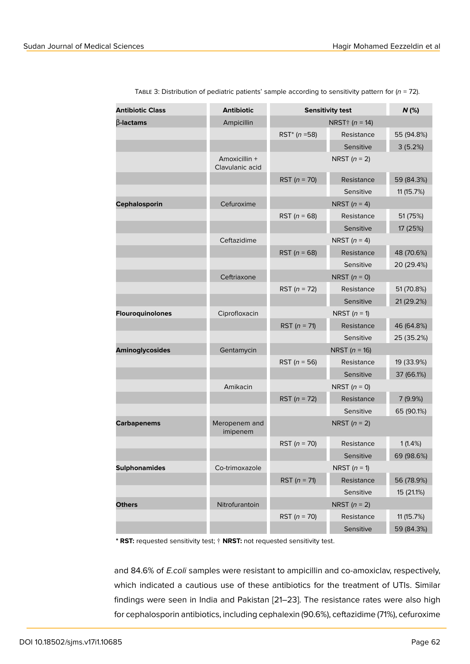| <b>Antibiotic Class</b> | <b>Antibiotic</b>                | <b>Sensitivity test</b>       |                         | $N$ (%)    |
|-------------------------|----------------------------------|-------------------------------|-------------------------|------------|
| $\beta$ -lactams        | Ampicillin                       |                               | NRST $\dagger$ (n = 14) |            |
|                         |                                  | RST <sup>*</sup> ( $n = 58$ ) | Resistance              | 55 (94.8%) |
|                         |                                  |                               | Sensitive               | 3(5.2%)    |
|                         | Amoxicillin +<br>Clavulanic acid |                               | NRST $(n = 2)$          |            |
|                         |                                  | RST ( $n = 70$ )              | Resistance              | 59 (84.3%) |
|                         |                                  |                               | Sensitive               | 11 (15.7%) |
| Cephalosporin           | Cefuroxime                       |                               | NRST $(n = 4)$          |            |
|                         |                                  | RST ( $n = 68$ )              | Resistance              | 51 (75%)   |
|                         |                                  |                               | Sensitive               | 17 (25%)   |
|                         | Ceftazidime                      |                               | NRST $(n = 4)$          |            |
|                         |                                  | RST ( $n = 68$ )              | Resistance              | 48 (70.6%) |
|                         |                                  |                               | Sensitive               | 20 (29.4%) |
|                         | Ceftriaxone                      |                               | NRST $(n = 0)$          |            |
|                         |                                  | RST ( $n = 72$ )              | Resistance              | 51 (70.8%) |
|                         |                                  |                               | Sensitive               | 21 (29.2%) |
| Flouroquinolones        | Ciprofloxacin                    |                               | NRST $(n = 1)$          |            |
|                         |                                  | RST ( $n = 71$ )              | Resistance              | 46 (64.8%) |
|                         |                                  |                               | Sensitive               | 25 (35.2%) |
| <b>Aminoglycosides</b>  | Gentamycin                       |                               | NRST ( $n = 16$ )       |            |
|                         |                                  | RST ( $n = 56$ )              | Resistance              | 19 (33.9%) |
|                         |                                  |                               | Sensitive               | 37 (66.1%) |
|                         | Amikacin                         |                               | NRST $(n = 0)$          |            |
|                         |                                  | RST ( $n = 72$ )              | Resistance              | 7 (9.9%)   |
|                         |                                  |                               | Sensitive               | 65 (90.1%) |
| <b>Carbapenems</b>      | Meropenem and<br>imipenem        |                               | NRST $(n = 2)$          |            |
|                         |                                  | RST ( $n = 70$ )              | Resistance              | 1(1.4%)    |
|                         |                                  |                               | Sensitive               | 69 (98.6%) |
| <b>Sulphonamides</b>    | Co-trimoxazole                   |                               | NRST $(n = 1)$          |            |
|                         |                                  | RST ( $n = 71$ )              | Resistance              | 56 (78.9%) |
|                         |                                  |                               | Sensitive               | 15 (21.1%) |
| <b>Others</b>           | Nitrofurantoin                   |                               | NRST $(n = 2)$          |            |
|                         |                                  | RST ( $n = 70$ )              | Resistance              | 11 (15.7%) |
|                         |                                  |                               | Sensitive               | 59 (84.3%) |

Table 3: Distribution of pediatric patients' sample according to sensitivity pattern for (*n* = 72).

**\* RST:** requested sensitivity test; † **NRST:** not requested sensitivity test.

and 84.6% of *E.coli* samples were resistant to ampicillin and co-amoxiclav, respectively, which indicated a cautious use of these antibiotics for the treatment of UTIs. Similar findings were seen in India and Pakistan [21–23]. The resistance rates were also high for cephalosporin antibiotics, including cephalexin (90.6%), ceftazidime (71%), cefuroxime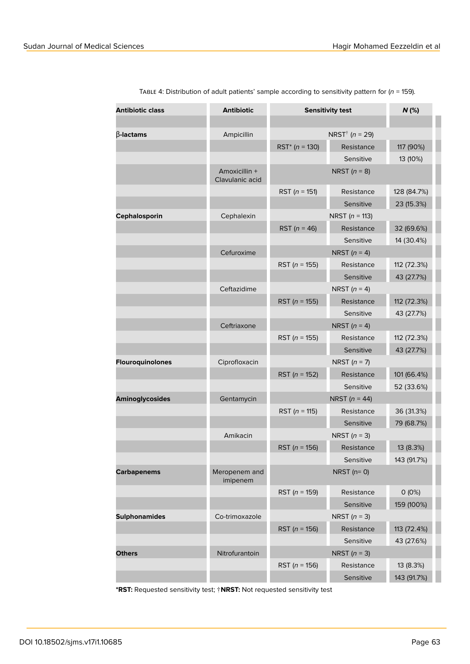| <b>Antibiotic class</b> | <b>Antibiotic</b>                | <b>Sensitivity test</b>        |                           | $N$ (%)     |
|-------------------------|----------------------------------|--------------------------------|---------------------------|-------------|
|                         |                                  |                                |                           |             |
| $\beta$ -lactams        | Ampicillin                       | NRST <sup>†</sup> ( $n = 29$ ) |                           |             |
|                         |                                  | RST <sup>*</sup> ( $n = 130$ ) | Resistance                | 117 (90%)   |
|                         |                                  |                                | Sensitive                 | 13 (10%)    |
|                         | Amoxicillin +<br>Clavulanic acid |                                | NRST $(n = 8)$            |             |
|                         |                                  | RST ( $n = 151$ )              | Resistance                | 128 (84.7%) |
|                         |                                  |                                | Sensitive                 | 23 (15.3%)  |
| Cephalosporin           | Cephalexin                       |                                | <b>NRST</b> ( $n = 113$ ) |             |
|                         |                                  | RST ( $n = 46$ )               | Resistance                | 32 (69.6%)  |
|                         |                                  |                                | Sensitive                 | 14 (30.4%)  |
|                         | Cefuroxime                       |                                | NRST $(n = 4)$            |             |
|                         |                                  | RST ( $n = 155$ )              | Resistance                | 112 (72.3%) |
|                         |                                  |                                | Sensitive                 | 43 (27.7%)  |
|                         | Ceftazidime                      |                                | NRST $(n = 4)$            |             |
|                         |                                  | RST ( $n = 155$ )              | Resistance                | 112 (72.3%) |
|                         |                                  |                                | Sensitive                 | 43 (27.7%)  |
|                         | Ceftriaxone                      |                                | NRST $(n = 4)$            |             |
|                         |                                  | RST ( $n = 155$ )              | Resistance                | 112 (72.3%) |
|                         |                                  |                                | Sensitive                 | 43 (27.7%)  |
| Flouroquinolones        | Ciprofloxacin                    |                                | NRST $(n = 7)$            |             |
|                         |                                  | RST ( $n = 152$ )              | Resistance                | 101 (66.4%) |
|                         |                                  |                                | Sensitive                 | 52 (33.6%)  |
| <b>Aminoglycosides</b>  | Gentamycin                       |                                | NRST ( $n = 44$ )         |             |
|                         |                                  | RST ( $n = 115$ )              | Resistance                | 36 (31.3%)  |
|                         |                                  |                                | Sensitive                 | 79 (68.7%)  |
|                         | Amikacin                         |                                | NRST $(n = 3)$            |             |
|                         |                                  | RST ( $n = 156$ )              | Resistance                | 13 (8.3%)   |
|                         |                                  |                                | Sensitive                 | 143 (91.7%) |
| <b>Carbapenems</b>      | Meropenem and<br>imipenem        |                                | NRST $(n=0)$              |             |
|                         |                                  | RST ( $n = 159$ )              | Resistance                | O(0%)       |
|                         |                                  |                                | Sensitive                 | 159 (100%)  |
| <b>Sulphonamides</b>    | Co-trimoxazole                   |                                | NRST $(n = 3)$            |             |
|                         |                                  | RST ( $n = 156$ )              | Resistance                | 113 (72.4%) |
|                         |                                  |                                | Sensitive                 | 43 (27.6%)  |
| <b>Others</b>           | Nitrofurantoin                   |                                | NRST $(n = 3)$            |             |
|                         |                                  | RST ( $n = 156$ )              | Resistance                | 13 (8.3%)   |
|                         |                                  |                                | Sensitive                 | 143 (91.7%) |

Table 4: Distribution of adult patients' sample according to sensitivity pattern for (*n* = 159).

**\*RST:** Requested sensitivity test; †**NRST:** Not requested sensitivity test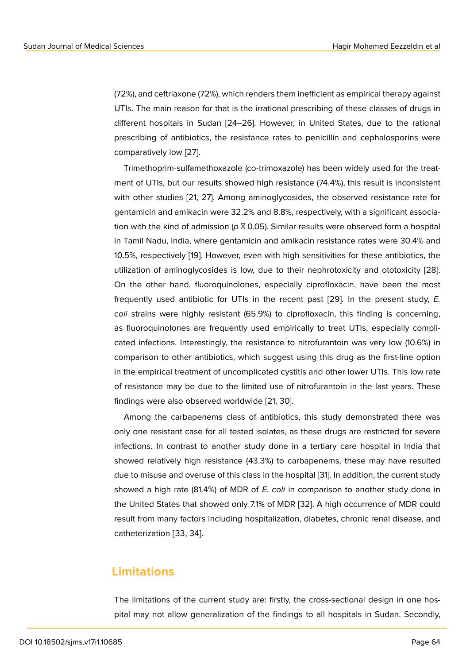(72%), and ceftriaxone (72%), which renders them inefficient as empirical therapy against UTIs. The main reason for that is the irrational prescribing of these classes of drugs in different hospitals in Sudan [24–26]. However, in United States, due to the rational prescribing of antibiotics, the resistance rates to penicillin and cephalosporins were comparatively low [27].

Trimethoprim-sulfamethoxazole (co-trimoxazole) has been widely used for the treatment of UTIs, but our results showed high resistance (74.4%), this result is inconsistent with other studies [\[21,](#page-12-0) 27]. Among aminoglycosides, the observed resistance rate for gentamicin and amikacin were 32.2% and 8.8%, respectively, with a significant association with the kind of admission ( $p \boxtimes$  0.05). Similar results were observed form a hospital in Tamil Nadu, India, where gentamicin and amikacin resistance rates were 30.4% and 10.5%, respectively [19]. However, even with high sensitivities for these antibiotics, the utilization of aminoglycosides is low, due to their nephrotoxicity and ototoxicity [28]. On the other hand, fluoroquinolones, especially ciprofloxacin, have been the most frequently used ant[ibi](#page-11-4)otic for UTIs in the recent past [29]. In the present study, *E. coli* strains were highly resistant (65.9%) to ciprofloxacin, this finding is concer[ning](#page-12-1), as fluoroquinolones are frequently used empirically to treat UTIs, especially complicated infections. Interestingly, the resistance to nitrofura[nto](#page-12-2)in was very low (10.6%) in comparison to other antibiotics, which suggest using this drug as the first-line option in the empirical treatment of uncomplicated cystitis and other lower UTIs. This low rate of resistance may be due to the limited use of nitrofurantoin in the last years. These findings were also observed worldwide [21, 30].

Among the carbapenems class of antibiotics, this study demonstrated there was only one resistant case for all tested isolates, as these drugs are restricted for severe infections. In contrast to another study done in a tertiary care hospital in India that showed relatively high resistance (43.3%) to carbapenems, these may have resulted due to misuse and overuse of this class in the hospital [31]. In addition, the current study showed a high rate (81.4%) of MDR of *E. coli* in comparison to another study done in the United States that showed only 7.1% of MDR [32]. A high occurrence of MDR could result from many factors including hospitalization, dia[bet](#page-12-3)es, chronic renal disease, and catheterization [33, 34].

### **Limitations**

The limitations of the current study are: firstly, the cross-sectional design in one hospital may not allow generalization of the findings to all hospitals in Sudan. Secondly,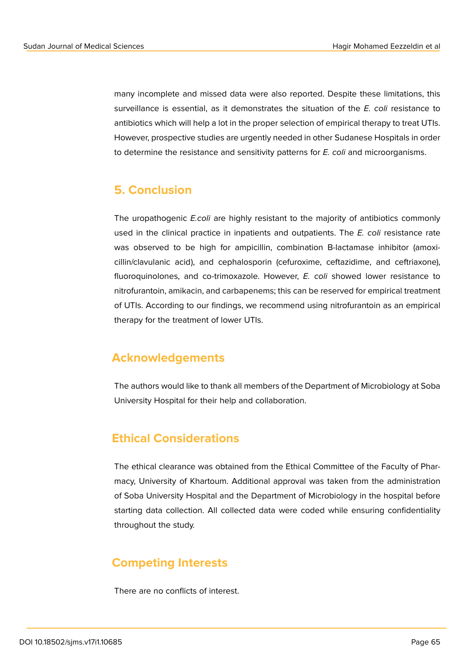many incomplete and missed data were also reported. Despite these limitations, this surveillance is essential, as it demonstrates the situation of the *E. coli* resistance to antibiotics which will help a lot in the proper selection of empirical therapy to treat UTIs. However, prospective studies are urgently needed in other Sudanese Hospitals in order to determine the resistance and sensitivity patterns for *E. coli* and microorganisms.

### **5. Conclusion**

The uropathogenic *E.coli* are highly resistant to the majority of antibiotics commonly used in the clinical practice in inpatients and outpatients. The *E. coli* resistance rate was observed to be high for ampicillin, combination B-lactamase inhibitor (amoxicillin/clavulanic acid), and cephalosporin (cefuroxime, ceftazidime, and ceftriaxone), fluoroquinolones, and co-trimoxazole. However, *E. coli* showed lower resistance to nitrofurantoin, amikacin, and carbapenems; this can be reserved for empirical treatment of UTIs. According to our findings, we recommend using nitrofurantoin as an empirical therapy for the treatment of lower UTIs.

## **Acknowledgements**

The authors would like to thank all members of the Department of Microbiology at Soba University Hospital for their help and collaboration.

## **Ethical Considerations**

The ethical clearance was obtained from the Ethical Committee of the Faculty of Pharmacy, University of Khartoum. Additional approval was taken from the administration of Soba University Hospital and the Department of Microbiology in the hospital before starting data collection. All collected data were coded while ensuring confidentiality throughout the study.

## **Competing Interests**

There are no conflicts of interest.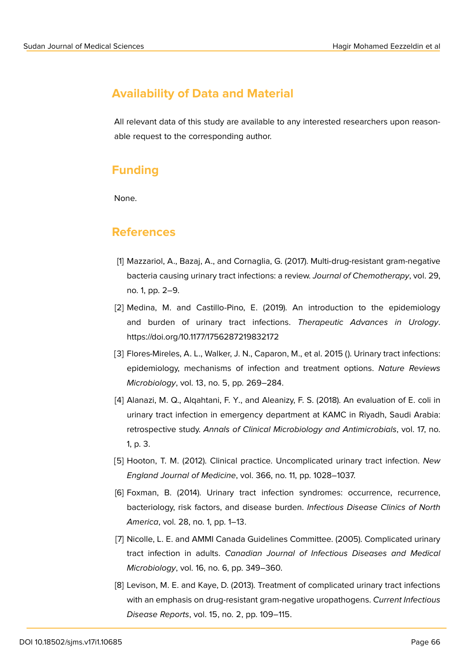# **Availability of Data and Material**

All relevant data of this study are available to any interested researchers upon reasonable request to the corresponding author.

# **Funding**

None.

### **References**

- <span id="page-10-0"></span>[1] Mazzariol, A., Bazaj, A., and Cornaglia, G. (2017). Multi-drug-resistant gram-negative bacteria causing urinary tract infections: a review. *Journal of Chemotherapy*, vol. 29, no. 1, pp. 2–9.
- [2] Medina, M. and Castillo-Pino, E. (2019). An introduction to the epidemiology and burden of urinary tract infections. *Therapeutic Advances in Urology*. https://doi.org/10.1177/1756287219832172
- <span id="page-10-1"></span>[3] Flores-Mireles, A. L., Walker, J. N., Caparon, M., et al. 2015 (). Urinary tract infections: epidemiology, mechanisms of infection and treatment options. *Nature Reviews Microbiology*, vol. 13, no. 5, pp. 269–284.
- [4] Alanazi, M. Q., Alqahtani, F. Y., and Aleanizy, F. S. (2018). An evaluation of E. coli in urinary tract infection in emergency department at KAMC in Riyadh, Saudi Arabia: retrospective study. *Annals of Clinical Microbiology and Antimicrobials*, vol. 17, no. 1, p. 3.
- <span id="page-10-2"></span>[5] Hooton, T. M. (2012). Clinical practice. Uncomplicated urinary tract infection. *New England Journal of Medicine*, vol. 366, no. 11, pp. 1028–1037.
- <span id="page-10-3"></span>[6] Foxman, B. (2014). Urinary tract infection syndromes: occurrence, recurrence, bacteriology, risk factors, and disease burden. *Infectious Disease Clinics of North America*, vol. 28, no. 1, pp. 1–13.
- [7] Nicolle, L. E. and AMMI Canada Guidelines Committee. (2005). Complicated urinary tract infection in adults. *Canadian Journal of Infectious Diseases and Medical Microbiology*, vol. 16, no. 6, pp. 349–360.
- [8] Levison, M. E. and Kaye, D. (2013). Treatment of complicated urinary tract infections with an emphasis on drug-resistant gram-negative uropathogens. *Current Infectious Disease Reports*, vol. 15, no. 2, pp. 109–115.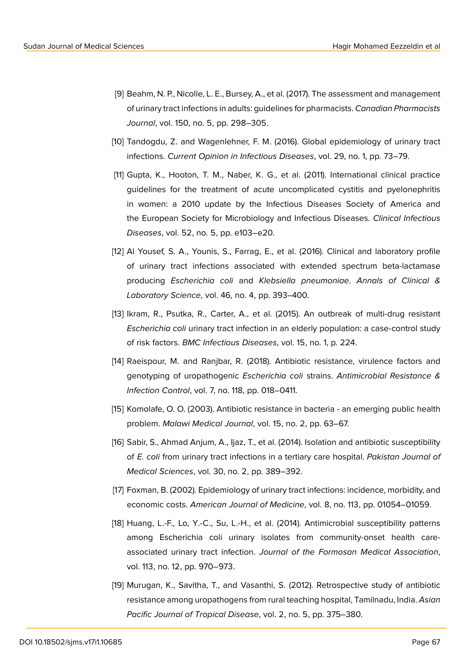- <span id="page-11-0"></span>[9] Beahm, N. P., Nicolle, L. E., Bursey, A., et al. (2017). The assessment and management of urinary tract infections in adults: guidelines for pharmacists. *Canadian Pharmacists Journal*, vol. 150, no. 5, pp. 298–305.
- <span id="page-11-1"></span>[10] Tandogdu, Z. and Wagenlehner, F. M. (2016). Global epidemiology of urinary tract infections. *Current Opinion in Infectious Diseases*, vol. 29, no. 1, pp. 73–79.
- <span id="page-11-2"></span>[11] Gupta, K., Hooton, T. M., Naber, K. G., et al. (2011). International clinical practice guidelines for the treatment of acute uncomplicated cystitis and pyelonephritis in women: a 2010 update by the Infectious Diseases Society of America and the European Society for Microbiology and Infectious Diseases. *Clinical Infectious Diseases*, vol. 52, no. 5, pp. e103–e20.
- [12] Al Yousef, S. A., Younis, S., Farrag, E., et al. (2016). Clinical and laboratory profile of urinary tract infections associated with extended spectrum beta-lactamase producing *Escherichia coli* and *Klebsiella pneumoniae*. *Annals of Clinical & Laboratory Science*, vol. 46, no. 4, pp. 393–400.
- [13] Ikram, R., Psutka, R., Carter, A., et al. (2015). An outbreak of multi-drug resistant *Escherichia coli* urinary tract infection in an elderly population: a case-control study of risk factors. *BMC Infectious Diseases*, vol. 15, no. 1, p. 224.
- [14] Raeispour, M. and Ranjbar, R. (2018). Antibiotic resistance, virulence factors and genotyping of uropathogenic *Escherichia coli* strains. *Antimicrobial Resistance & Infection Control*, vol. 7, no. 118, pp. 018–0411.
- [15] Komolafe, O. O. (2003). Antibiotic resistance in bacteria an emerging public health problem. *Malawi Medical Journal*, vol. 15, no. 2, pp. 63–67.
- <span id="page-11-3"></span>[16] Sabir, S., Ahmad Anjum, A., Ijaz, T., et al. (2014). Isolation and antibiotic susceptibility of *E. coli* from urinary tract infections in a tertiary care hospital. *Pakistan Journal of Medical Sciences*, vol. 30, no. 2, pp. 389–392.
- [17] Foxman, B. (2002). Epidemiology of urinary tract infections: incidence, morbidity, and economic costs. *American Journal of Medicine*, vol. 8, no. 113, pp. 01054–01059.
- [18] Huang, L.-F., Lo, Y.-C., Su, L.-H., et al. (2014). Antimicrobial susceptibility patterns among Escherichia coli urinary isolates from community-onset health careassociated urinary tract infection. *Journal of the Formosan Medical Association*, vol. 113, no. 12, pp. 970–973.
- <span id="page-11-4"></span>[19] Murugan, K., Savitha, T., and Vasanthi, S. (2012). Retrospective study of antibiotic resistance among uropathogens from rural teaching hospital, Tamilnadu, India. *Asian Pacific Journal of Tropical Disease*, vol. 2, no. 5, pp. 375–380.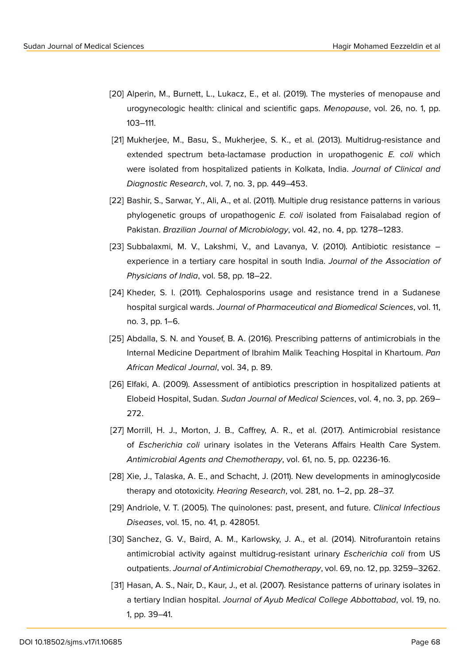- [20] Alperin, M., Burnett, L., Lukacz, E., et al. (2019). The mysteries of menopause and urogynecologic health: clinical and scientific gaps. *Menopause*, vol. 26, no. 1, pp. 103–111.
- [21] Mukherjee, M., Basu, S., Mukherjee, S. K., et al. (2013). Multidrug-resistance and extended spectrum beta-lactamase production in uropathogenic *E. coli* which were isolated from hospitalized patients in Kolkata, India. *Journal of Clinical and Diagnostic Research*, vol. 7, no. 3, pp. 449–453.
- [22] Bashir, S., Sarwar, Y., Ali, A., et al. (2011). Multiple drug resistance patterns in various phylogenetic groups of uropathogenic *E. coli* isolated from Faisalabad region of Pakistan. *Brazilian Journal of Microbiology*, vol. 42, no. 4, pp. 1278–1283.
- [23] Subbalaxmi, M. V., Lakshmi, V., and Lavanya, V. (2010). Antibiotic resistance experience in a tertiary care hospital in south India. *Journal of the Association of Physicians of India*, vol. 58, pp. 18–22.
- [24] Kheder, S. I. (2011). Cephalosporins usage and resistance trend in a Sudanese hospital surgical wards. *Journal of Pharmaceutical and Biomedical Sciences*, vol. 11, no. 3, pp. 1–6.
- [25] Abdalla, S. N. and Yousef, B. A. (2016). Prescribing patterns of antimicrobials in the Internal Medicine Department of Ibrahim Malik Teaching Hospital in Khartoum. *Pan African Medical Journal*, vol. 34, p. 89.
- [26] Elfaki, A. (2009). Assessment of antibiotics prescription in hospitalized patients at Elobeid Hospital, Sudan. *Sudan Journal of Medical Sciences*, vol. 4, no. 3, pp. 269– 272.
- <span id="page-12-0"></span>[27] Morrill, H. J., Morton, J. B., Caffrey, A. R., et al. (2017). Antimicrobial resistance of *Escherichia coli* urinary isolates in the Veterans Affairs Health Care System. *Antimicrobial Agents and Chemotherapy*, vol. 61, no. 5, pp. 02236-16.
- <span id="page-12-1"></span>[28] Xie, J., Talaska, A. E., and Schacht, J. (2011). New developments in aminoglycoside therapy and ototoxicity. *Hearing Research*, vol. 281, no. 1–2, pp. 28–37.
- <span id="page-12-2"></span>[29] Andriole, V. T. (2005). The quinolones: past, present, and future. *Clinical Infectious Diseases*, vol. 15, no. 41, p. 428051.
- [30] Sanchez, G. V., Baird, A. M., Karlowsky, J. A., et al. (2014). Nitrofurantoin retains antimicrobial activity against multidrug-resistant urinary *Escherichia coli* from US outpatients. *Journal of Antimicrobial Chemotherapy*, vol. 69, no. 12, pp. 3259–3262.
- <span id="page-12-3"></span>[31] Hasan, A. S., Nair, D., Kaur, J., et al. (2007). Resistance patterns of urinary isolates in a tertiary Indian hospital. *Journal of Ayub Medical College Abbottabad*, vol. 19, no. 1, pp. 39–41.